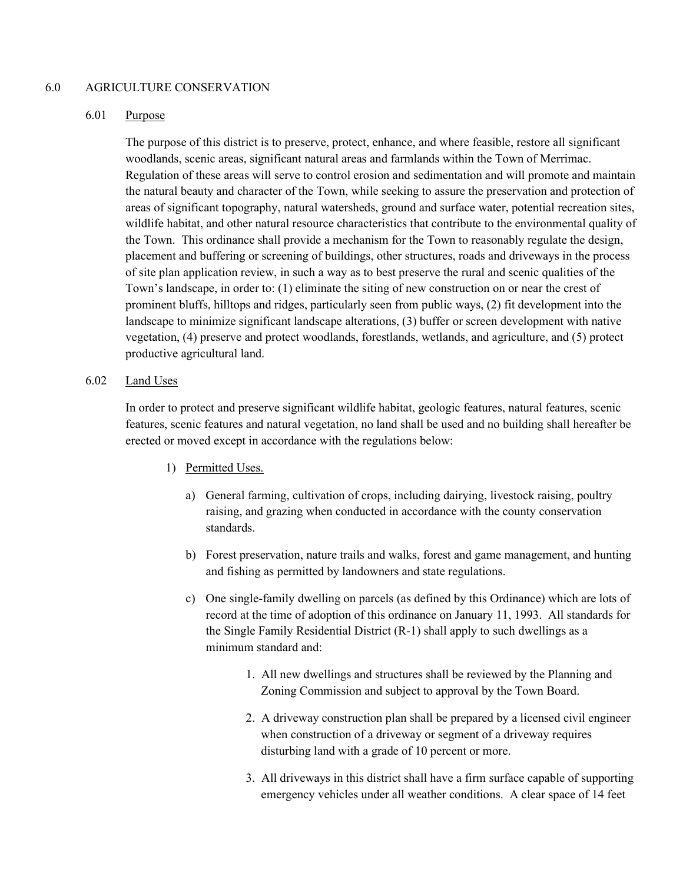## 6.0 AGRICULTURE CONSERVATION

## 6.01 Purpose

The purpose of this district is to preserve, protect, enhance, and where feasible, restore all significant woodlands, scenic areas, significant natural areas and farmlands within the Town of Merrimac. Regulation of these areas will serve to control erosion and sedimentation and will promote and maintain the natural beauty and character of the Town, while seeking to assure the preservation and protection of areas of significant topography, natural watersheds, ground and surface water, potential recreation sites, wildlife habitat, and other natural resource characteristics that contribute to the environmental quality of the Town. This ordinance shall provide a mechanism for the Town to reasonably regulate the design, placement and buffering or screening of buildings, other structures, roads and driveways in the process of site plan application review, in such a way as to best preserve the rural and scenic qualities of the Town's landscape, in order to: (1) eliminate the siting of new construction on or near the crest of prominent bluffs, hilltops and ridges, particularly seen from public ways, (2) fit development into the landscape to minimize significant landscape alterations, (3) buffer or screen development with native vegetation, (4) preserve and protect woodlands, forestlands, wetlands, and agriculture, and (5) protect productive agricultural land.

## 6.02 Land Uses

In order to protect and preserve significant wildlife habitat, geologic features, natural features, scenic features, scenic features and natural vegetation, no land shall be used and no building shall hereafter be erected or moved except in accordance with the regulations below:

- 1) Permitted Uses.
	- a) General farming, cultivation of crops, including dairying, livestock raising, poultry raising, and grazing when conducted in accordance with the county conservation standards.
	- b) Forest preservation, nature trails and walks, forest and game management, and hunting and fishing as permitted by landowners and state regulations.
	- c) One single-family dwelling on parcels (as defined by this Ordinance) which are lots of record at the time of adoption of this ordinance on January 11, 1993. All standards for the Single Family Residential District (R-1) shall apply to such dwellings as a minimum standard and:
		- 1. All new dwellings and structures shall be reviewed by the Planning and Zoning Commission and subject to approval by the Town Board.
		- 2. A driveway construction plan shall be prepared by a licensed civil engineer when construction of a driveway or segment of a driveway requires disturbing land with a grade of 10 percent or more.
		- 3. All driveways in this district shall have a firm surface capable of supporting emergency vehicles under all weather conditions. A clear space of 14 feet